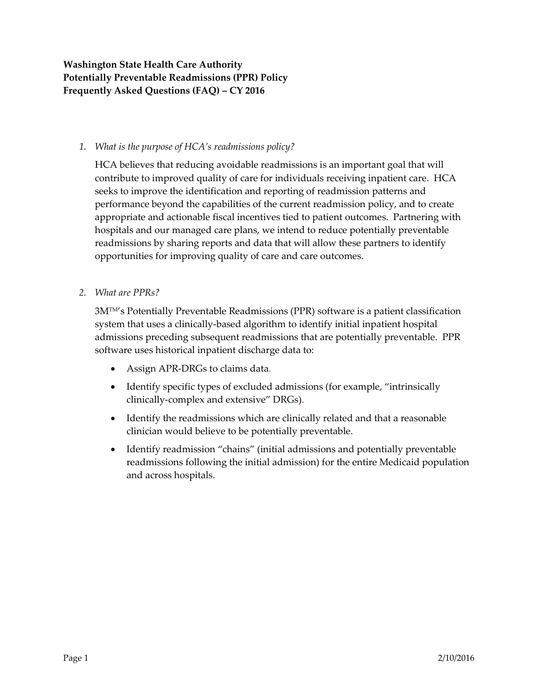### *1. What is the purpose of HCA's readmissions policy?*

HCA believes that reducing avoidable readmissions is an important goal that will contribute to improved quality of care for individuals receiving inpatient care. HCA seeks to improve the identification and reporting of readmission patterns and performance beyond the capabilities of the current readmission policy, and to create appropriate and actionable fiscal incentives tied to patient outcomes. Partnering with hospitals and our managed care plans, we intend to reduce potentially preventable readmissions by sharing reports and data that will allow these partners to identify opportunities for improving quality of care and care outcomes.

### *2. What are PPRs?*

3MTM's Potentially Preventable Readmissions (PPR) software is a patient classification system that uses a clinically-based algorithm to identify initial inpatient hospital admissions preceding subsequent readmissions that are potentially preventable. PPR software uses historical inpatient discharge data to:

- Assign APR-DRGs to claims data.
- Identify specific types of excluded admissions (for example, "intrinsically clinically-complex and extensive" DRGs).
- Identify the readmissions which are clinically related and that a reasonable clinician would believe to be potentially preventable.
- Identify readmission "chains" (initial admissions and potentially preventable readmissions following the initial admission) for the entire Medicaid population and across hospitals.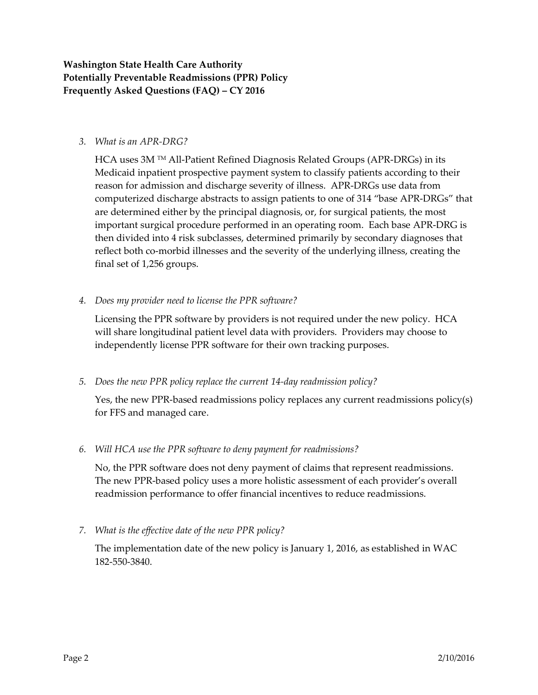### *3. What is an APR-DRG?*

HCA uses 3M TM All-Patient Refined Diagnosis Related Groups (APR-DRGs) in its Medicaid inpatient prospective payment system to classify patients according to their reason for admission and discharge severity of illness. APR-DRGs use data from computerized discharge abstracts to assign patients to one of 314 "base APR-DRGs" that are determined either by the principal diagnosis, or, for surgical patients, the most important surgical procedure performed in an operating room. Each base APR-DRG is then divided into 4 risk subclasses, determined primarily by secondary diagnoses that reflect both co-morbid illnesses and the severity of the underlying illness, creating the final set of 1,256 groups.

### *4. Does my provider need to license the PPR software?*

Licensing the PPR software by providers is not required under the new policy. HCA will share longitudinal patient level data with providers. Providers may choose to independently license PPR software for their own tracking purposes.

### *5. Does the new PPR policy replace the current 14-day readmission policy?*

Yes, the new PPR-based readmissions policy replaces any current readmissions policy(s) for FFS and managed care.

### *6. Will HCA use the PPR software to deny payment for readmissions?*

No, the PPR software does not deny payment of claims that represent readmissions. The new PPR-based policy uses a more holistic assessment of each provider's overall readmission performance to offer financial incentives to reduce readmissions.

*7. What is the effective date of the new PPR policy?*

The implementation date of the new policy is January 1, 2016, as established in WAC 182-550-3840.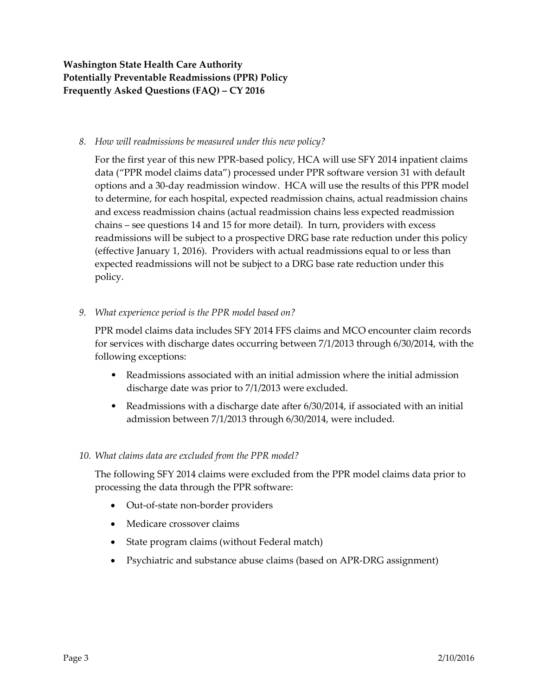#### *8. How will readmissions be measured under this new policy?*

For the first year of this new PPR-based policy, HCA will use SFY 2014 inpatient claims data ("PPR model claims data") processed under PPR software version 31 with default options and a 30-day readmission window. HCA will use the results of this PPR model to determine, for each hospital, expected readmission chains, actual readmission chains and excess readmission chains (actual readmission chains less expected readmission chains – see questions 14 and 15 for more detail). In turn, providers with excess readmissions will be subject to a prospective DRG base rate reduction under this policy (effective January 1, 2016). Providers with actual readmissions equal to or less than expected readmissions will not be subject to a DRG base rate reduction under this policy.

### *9. What experience period is the PPR model based on?*

PPR model claims data includes SFY 2014 FFS claims and MCO encounter claim records for services with discharge dates occurring between 7/1/2013 through 6/30/2014, with the following exceptions:

- Readmissions associated with an initial admission where the initial admission discharge date was prior to 7/1/2013 were excluded.
- Readmissions with a discharge date after 6/30/2014, if associated with an initial admission between 7/1/2013 through 6/30/2014, were included.

### *10. What claims data are excluded from the PPR model?*

The following SFY 2014 claims were excluded from the PPR model claims data prior to processing the data through the PPR software:

- Out-of-state non-border providers
- Medicare crossover claims
- State program claims (without Federal match)
- Psychiatric and substance abuse claims (based on APR-DRG assignment)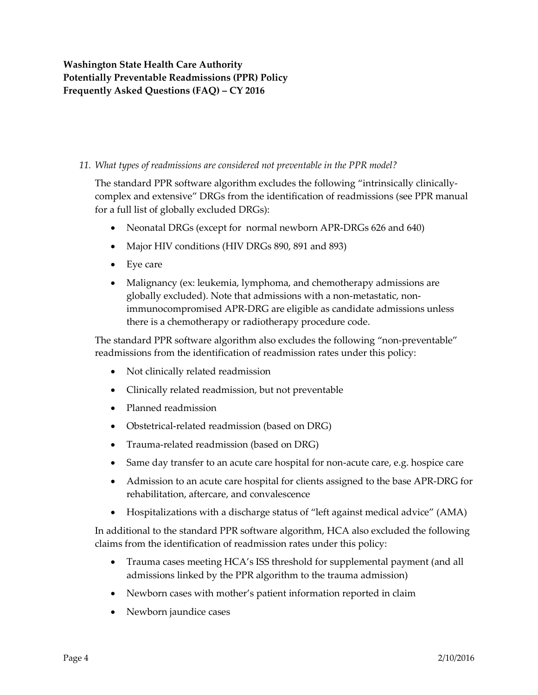### *11. What types of readmissions are considered not preventable in the PPR model?*

The standard PPR software algorithm excludes the following "intrinsically clinicallycomplex and extensive" DRGs from the identification of readmissions (see PPR manual for a full list of globally excluded DRGs):

- Neonatal DRGs (except for normal newborn APR-DRGs 626 and 640)
- Major HIV conditions (HIV DRGs 890, 891 and 893)
- Eye care
- Malignancy (ex: leukemia, lymphoma, and chemotherapy admissions are globally excluded). Note that admissions with a non-metastatic, nonimmunocompromised APR-DRG are eligible as candidate admissions unless there is a chemotherapy or radiotherapy procedure code.

The standard PPR software algorithm also excludes the following "non-preventable" readmissions from the identification of readmission rates under this policy:

- Not clinically related readmission
- Clinically related readmission, but not preventable
- Planned readmission
- Obstetrical-related readmission (based on DRG)
- Trauma-related readmission (based on DRG)
- Same day transfer to an acute care hospital for non-acute care, e.g. hospice care
- Admission to an acute care hospital for clients assigned to the base APR-DRG for rehabilitation, aftercare, and convalescence
- Hospitalizations with a discharge status of "left against medical advice" (AMA)

In additional to the standard PPR software algorithm, HCA also excluded the following claims from the identification of readmission rates under this policy:

- Trauma cases meeting HCA's ISS threshold for supplemental payment (and all admissions linked by the PPR algorithm to the trauma admission)
- Newborn cases with mother's patient information reported in claim
- Newborn jaundice cases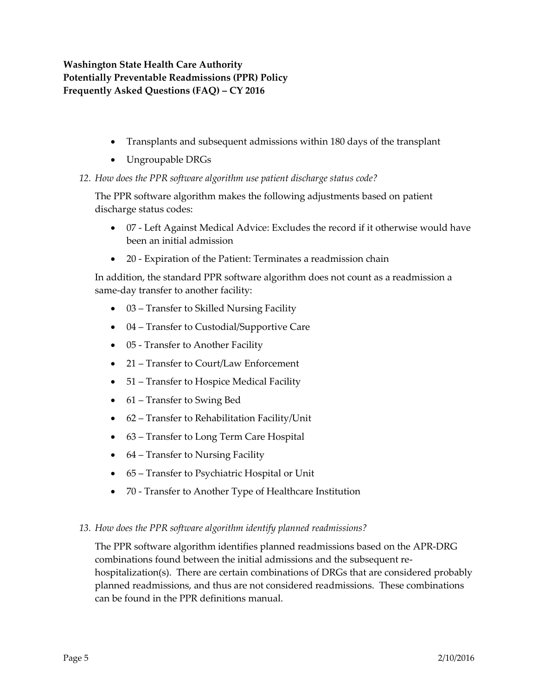- Transplants and subsequent admissions within 180 days of the transplant
- Ungroupable DRGs
- *12. How does the PPR software algorithm use patient discharge status code?*

The PPR software algorithm makes the following adjustments based on patient discharge status codes:

- 07 Left Against Medical Advice: Excludes the record if it otherwise would have been an initial admission
- 20 Expiration of the Patient: Terminates a readmission chain

In addition, the standard PPR software algorithm does not count as a readmission a same-day transfer to another facility:

- 03 Transfer to Skilled Nursing Facility
- 04 Transfer to Custodial/Supportive Care
- 05 Transfer to Another Facility
- 21 Transfer to Court/Law Enforcement
- 51 Transfer to Hospice Medical Facility
- 61 Transfer to Swing Bed
- 62 Transfer to Rehabilitation Facility/Unit
- 63 Transfer to Long Term Care Hospital
- 64 Transfer to Nursing Facility
- 65 Transfer to Psychiatric Hospital or Unit
- 70 Transfer to Another Type of Healthcare Institution

### *13. How does the PPR software algorithm identify planned readmissions?*

The PPR software algorithm identifies planned readmissions based on the APR-DRG combinations found between the initial admissions and the subsequent rehospitalization(s). There are certain combinations of DRGs that are considered probably planned readmissions, and thus are not considered readmissions. These combinations can be found in the PPR definitions manual.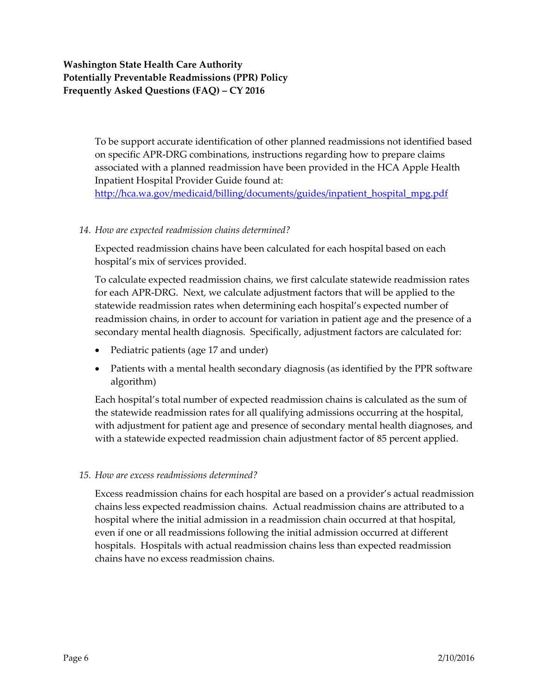To be support accurate identification of other planned readmissions not identified based on specific APR-DRG combinations, instructions regarding how to prepare claims associated with a planned readmission have been provided in the HCA Apple Health Inpatient Hospital Provider Guide found at:

[http://hca.wa.gov/medicaid/billing/documents/guides/inpatient\\_hospital\\_mpg.pdf](http://hca.wa.gov/medicaid/billing/documents/guides/inpatient_hospital_mpg.pdf)

### *14. How are expected readmission chains determined?*

Expected readmission chains have been calculated for each hospital based on each hospital's mix of services provided.

To calculate expected readmission chains, we first calculate statewide readmission rates for each APR-DRG. Next, we calculate adjustment factors that will be applied to the statewide readmission rates when determining each hospital's expected number of readmission chains, in order to account for variation in patient age and the presence of a secondary mental health diagnosis. Specifically, adjustment factors are calculated for:

- Pediatric patients (age 17 and under)
- Patients with a mental health secondary diagnosis (as identified by the PPR software algorithm)

Each hospital's total number of expected readmission chains is calculated as the sum of the statewide readmission rates for all qualifying admissions occurring at the hospital, with adjustment for patient age and presence of secondary mental health diagnoses, and with a statewide expected readmission chain adjustment factor of 85 percent applied.

### *15. How are excess readmissions determined?*

Excess readmission chains for each hospital are based on a provider's actual readmission chains less expected readmission chains. Actual readmission chains are attributed to a hospital where the initial admission in a readmission chain occurred at that hospital, even if one or all readmissions following the initial admission occurred at different hospitals. Hospitals with actual readmission chains less than expected readmission chains have no excess readmission chains.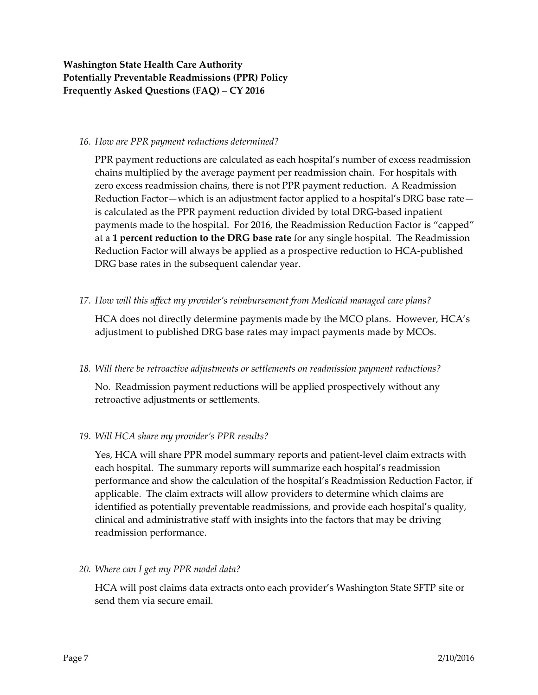#### *16. How are PPR payment reductions determined?*

PPR payment reductions are calculated as each hospital's number of excess readmission chains multiplied by the average payment per readmission chain. For hospitals with zero excess readmission chains, there is not PPR payment reduction. A Readmission Reduction Factor—which is an adjustment factor applied to a hospital's DRG base rate is calculated as the PPR payment reduction divided by total DRG-based inpatient payments made to the hospital. For 2016, the Readmission Reduction Factor is "capped" at a **1 percent reduction to the DRG base rate** for any single hospital. The Readmission Reduction Factor will always be applied as a prospective reduction to HCA-published DRG base rates in the subsequent calendar year.

### *17. How will this affect my provider's reimbursement from Medicaid managed care plans?*

HCA does not directly determine payments made by the MCO plans. However, HCA's adjustment to published DRG base rates may impact payments made by MCOs.

### *18. Will there be retroactive adjustments or settlements on readmission payment reductions?*

No. Readmission payment reductions will be applied prospectively without any retroactive adjustments or settlements.

### *19. Will HCA share my provider's PPR results?*

Yes, HCA will share PPR model summary reports and patient-level claim extracts with each hospital. The summary reports will summarize each hospital's readmission performance and show the calculation of the hospital's Readmission Reduction Factor, if applicable. The claim extracts will allow providers to determine which claims are identified as potentially preventable readmissions, and provide each hospital's quality, clinical and administrative staff with insights into the factors that may be driving readmission performance.

### *20. Where can I get my PPR model data?*

HCA will post claims data extracts onto each provider's Washington State SFTP site or send them via secure email.